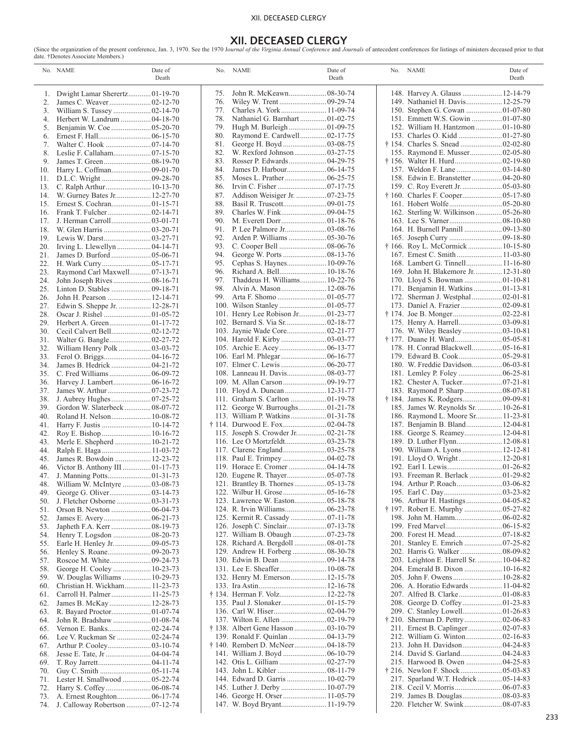#### XII. DECEASED CLERGY

# **XII. DECEASED CLERGY**

(Since the organization of the present conference, Jan. 3, 1970. See the 1970 J*ournal of the Virginia Annual Conference* and *Journals* of antecedent conferences for listings of ministers deceased prior to that date. †Denotes Associate Members.)

|            | No. NAME                                                       | Date of<br>Death |            | No. NAME                                                  | Date of<br>Death | No. NAME                                                            | Date of<br>Death |
|------------|----------------------------------------------------------------|------------------|------------|-----------------------------------------------------------|------------------|---------------------------------------------------------------------|------------------|
|            | 1. Dwight Lamar Sherertz 01-19-70                              |                  | 75.        | John R. McKeawn 08-30-74                                  |                  | 148. Harvey A. Glauss  12-14-79                                     |                  |
| 2.         |                                                                |                  | 76.        |                                                           |                  | 149. Nathaniel H. Davis 12-25-79                                    |                  |
| 3.         |                                                                |                  | 77.        | Charles A. York  11-09-74                                 |                  |                                                                     |                  |
| 4.<br>5.   | Herbert W. Landrum  04-18-70                                   |                  | 78.<br>79. | Nathaniel G. Barnhart 01-02-75                            |                  | 151. Emmett W.S. Gowin 01-07-80<br>152. William H. Hantzmon01-10-80 |                  |
| 6.         |                                                                |                  | 80.        | Raymond E. Cardwell 02-17-75                              |                  |                                                                     |                  |
| 7.         |                                                                |                  | 81.        |                                                           |                  |                                                                     |                  |
| 8.         |                                                                |                  | 82.        |                                                           |                  | 155. Raymond E. Musser 02-05-80                                     |                  |
| 9.         |                                                                |                  | 83.        |                                                           |                  |                                                                     |                  |
| 10.        |                                                                |                  | 84.        |                                                           |                  |                                                                     |                  |
| 11.        |                                                                |                  | 85.        |                                                           |                  | 158. Edwin E. Branstetter  04-20-80                                 |                  |
| 13.        |                                                                |                  | 86.        |                                                           |                  |                                                                     |                  |
| 14.<br>15. | W. Gurney Bates Jr 12-27-70                                    |                  | 87.<br>88. | Addison Weisiger Jr.  07-23-75                            |                  |                                                                     |                  |
| 16.        |                                                                |                  | 89.        |                                                           |                  | 162. Sterling W. Wilkinson  05-26-80                                |                  |
|            |                                                                |                  | 90.        |                                                           |                  |                                                                     |                  |
| 18.        |                                                                |                  | 91.        |                                                           |                  |                                                                     |                  |
| 19.        |                                                                |                  | 92.        |                                                           |                  |                                                                     |                  |
| 20.        |                                                                |                  | 93.        |                                                           |                  | † 166. Roy L. McCormick  10-15-80                                   |                  |
| 21.        | James D. Burford  05-06-71                                     |                  | 94.        |                                                           |                  |                                                                     |                  |
| 22.        |                                                                |                  | 95.        |                                                           |                  | 168. Lambert G. Tinnell 11-16-80                                    |                  |
| 23.<br>24. | Raymond Carl Maxwell 07-13-71                                  |                  | 96.<br>97. | Richard A. Bell 10-18-76<br>Thaddeus H. Williams 10-22-76 |                  | 169. John H. Blakemore Jr 12-31-80                                  |                  |
| 25.        |                                                                |                  | 98.        | Alvin A. Mason 12-08-76                                   |                  | 171. Benjamin H. Watkins 01-13-81                                   |                  |
| 26.        | John H. Pearson  12-14-71                                      |                  | 99.        |                                                           |                  |                                                                     |                  |
| 27.        | Edwin S. Sheppe Jr.  12-28-71                                  |                  |            |                                                           |                  |                                                                     |                  |
| 28.        |                                                                |                  |            | 101. Henry Lee Robison Jr 01-23-77                        |                  |                                                                     |                  |
| 29.        |                                                                |                  |            |                                                           |                  |                                                                     |                  |
| 30.        |                                                                |                  |            | 103. Jaynie Wade Core 02-21-77                            |                  |                                                                     |                  |
| 31.        |                                                                |                  |            |                                                           |                  |                                                                     |                  |
| 32.<br>33. | William Henry Polk  03-03-72                                   |                  |            |                                                           |                  | 178. H. Conrad Blackwell 05-16-81                                   |                  |
| 34.        | James B. Hedrick  04-21-72                                     |                  |            |                                                           |                  | 180. W. Freddie Davidson 06-03-81                                   |                  |
| 35.        |                                                                |                  |            |                                                           |                  |                                                                     |                  |
| 36.        |                                                                |                  |            |                                                           |                  |                                                                     |                  |
| 37.        |                                                                |                  |            | 110. Floyd A. Duncan  12-31-77                            |                  |                                                                     |                  |
| 38.        |                                                                |                  |            |                                                           |                  |                                                                     |                  |
| 39.        | Gordon W. Slaterbeck  08-07-72                                 |                  |            | 112. George W. Burroughs01-21-78                          |                  | 185. James W. Reynolds Sr.  10-26-81                                |                  |
| 40.        | Roland H. Nelson 10-08-72                                      |                  |            |                                                           |                  | 186. Raymond L. Moore Sr 11-23-81                                   |                  |
| 41.<br>42. | Roy E. Bishop  10-16-72                                        |                  |            | 115. Joseph S. Crowder Jr 02-21-78                        |                  | 187. Benjamin B. Bland 12-04-81<br>188. George S. Reamey 12-04-81   |                  |
| 43.        |                                                                |                  |            |                                                           |                  |                                                                     |                  |
| 44.        | Ralph E. Haga  11-03-72                                        |                  |            |                                                           |                  | 190. William A. Lyons  12-12-81                                     |                  |
| 45.        | James R. Bowdoin  12-23-72                                     |                  |            |                                                           |                  | 191. Lloyd O. Wright 12-20-81                                       |                  |
| 46.        | Victor B. Anthony III  01-17-73                                |                  |            |                                                           |                  |                                                                     |                  |
| 47.        | J. Manning Potts01-31-73                                       |                  |            |                                                           |                  | 193. Freeman R. Berlack  01-29-82                                   |                  |
| 48.        | William W. McIntyre  03-08-73                                  |                  |            | 121. Brantley B. Thornes  05-13-78                        |                  |                                                                     |                  |
| 49.        | J. Fletcher Osborne  03-31-73                                  |                  |            |                                                           |                  |                                                                     |                  |
| 50.<br>51. |                                                                |                  |            |                                                           |                  |                                                                     |                  |
| 52.        |                                                                |                  |            |                                                           |                  |                                                                     |                  |
| 53.        | Japheth F.A. Kerr  08-19-73                                    |                  |            |                                                           |                  |                                                                     |                  |
| 54.        | Henry T. Logsdon  08-20-73                                     |                  |            |                                                           |                  |                                                                     |                  |
| 55.        | Earle H. Henley Jr.  09-05-73                                  |                  |            |                                                           |                  |                                                                     |                  |
| 56.        |                                                                |                  |            |                                                           |                  | 202. Harris G. Walker  08-09-82                                     |                  |
| 57.        |                                                                |                  |            |                                                           |                  | 203. Leighton E. Harrell Sr.  10-04-82                              |                  |
| 58.        | George H. Cooley  10-23-73                                     |                  |            |                                                           |                  | 204. Emerald B. Dixon  10-16-82                                     |                  |
| 59.<br>60. | W. Douglas Williams  10-29-73<br>Christian H. Wickham 11-23-73 |                  |            | 132. Henry M. Emerson 12-15-78                            |                  | 206. A. Horatio Edwards  11-04-82                                   |                  |
| 61.        | Carroll H. Palmer 11-25-73                                     |                  |            | † 134. Herman F. Volz 12-22-78                            |                  |                                                                     |                  |
| 62.        | James B. McKay  12-28-73                                       |                  |            |                                                           |                  |                                                                     |                  |
| 63.        |                                                                |                  |            |                                                           |                  |                                                                     |                  |
| 64.        | John R. Bradshaw  01-08-74                                     |                  |            |                                                           |                  |                                                                     |                  |
| 65.        |                                                                |                  |            |                                                           |                  |                                                                     |                  |
| 66.        | Lee V. Ruckman Sr  02-24-74                                    |                  |            | 139. Ronald F. Quinlan  04-13-79                          |                  |                                                                     |                  |
| 67.        |                                                                |                  |            | † 140. Rembert D. McNeer 04-18-79                         |                  |                                                                     |                  |
| 68.        |                                                                |                  |            |                                                           |                  |                                                                     |                  |
| 69.        |                                                                |                  |            |                                                           |                  |                                                                     |                  |
| 70.<br>71. | Lester H. Smallwood  05-22-74                                  |                  |            | 144. Edward D. Garris  10-02-79                           |                  | 217. Sparland W.T. Hedrick 05-14-83                                 |                  |
| 72.        |                                                                |                  |            |                                                           |                  |                                                                     |                  |
| 73.        |                                                                |                  |            |                                                           |                  |                                                                     |                  |
|            | 74. J. Calloway Robertson  07-12-74                            |                  |            |                                                           |                  |                                                                     |                  |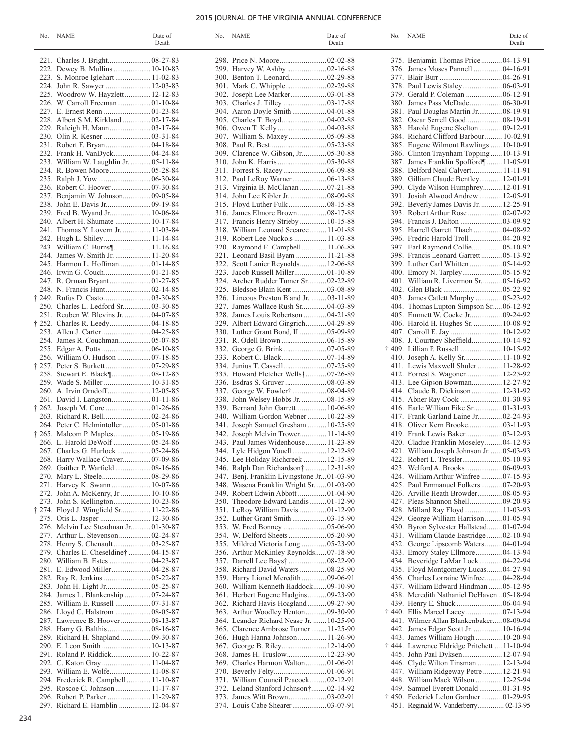### 2015 JOURNAL OF THE VIRGINIA ANNUAL CONFERENCE

| No. NAME                                                                  | Date of<br>Death | No. NAME                                                                     | Date of<br>Death | No. NAME                                                                        | Date of<br>Death |
|---------------------------------------------------------------------------|------------------|------------------------------------------------------------------------------|------------------|---------------------------------------------------------------------------------|------------------|
|                                                                           |                  |                                                                              |                  | 375. Benjamin Thomas Price 04-13-91                                             |                  |
| 222. Dewey B. Mullins 10-10-83                                            |                  |                                                                              |                  | 376. James Moses Pannell  04-16-91                                              |                  |
| 223. S. Monroe Iglehart  11-02-83                                         |                  |                                                                              |                  |                                                                                 |                  |
| 224. John R. Sawyer  12-03-83                                             |                  |                                                                              |                  | 378. Paul Lewis Staley 06-03-91                                                 |                  |
| 225. Woodrow W. Hayzlett 12-12-83                                         |                  |                                                                              |                  |                                                                                 |                  |
|                                                                           |                  |                                                                              |                  | 380. James Pass McDade 06-30-91                                                 |                  |
|                                                                           |                  |                                                                              |                  | 381. Paul Douglas Martin Jr 08-19-91                                            |                  |
| 228. Albert S.M. Kirkland  02-17-84                                       |                  |                                                                              |                  | 382. Oscar Serrell Good 08-19-91                                                |                  |
|                                                                           |                  | 307. William S. Maxey  05-09-88                                              |                  | 383. Harold Eugene Skelton  09-12-91<br>384. Richard Clifford Barbour 10-02.91  |                  |
|                                                                           |                  |                                                                              |                  | 385. Eugene Wilmont Rawlings  10-10-91                                          |                  |
|                                                                           |                  | 309. Clarence W. Gibson, Jr 05-30-88                                         |                  | 386. Clinton Traynham Topping  10-13-91                                         |                  |
| 233. William W. Laughlin Jr.  05-11-84                                    |                  |                                                                              |                  | 387. James Franklin Spofford¶ 11-05-91                                          |                  |
|                                                                           |                  |                                                                              |                  | 388. Delford Neal Calvert 11-11-91                                              |                  |
|                                                                           |                  |                                                                              |                  | 389. Gilliam Claude Bentley 12-01-91                                            |                  |
|                                                                           |                  | 313. Virginia B. McClanan  07-21-88                                          |                  | 390. Clyde Wilson Humphrey 12-01-91                                             |                  |
| 237. Benjamin W. Johnson 09-05-84                                         |                  |                                                                              |                  | 391. Josiah Alwood Andrew  12-05-91                                             |                  |
|                                                                           |                  | 315. Floyd Luther Fulk  08-15-88                                             |                  | 392. Beverly James Davis Jr.  12-25-91                                          |                  |
| 239. Fred B. Wyand Jr 10-06-84                                            |                  | 316. James Elmore Brown 08-17-88                                             |                  |                                                                                 |                  |
| 240. Albert H. Shumate  10-17-84<br>241. Thomas Y. Lovern Jr.  11-03-84   |                  | 317. Francis Henry Strieby 10-15-88                                          |                  |                                                                                 |                  |
| 242. Hugh L. Shiley 11-14-84                                              |                  | 318. William Leonard Scearce 11-01-88<br>319. Robert Lee Nuckols  11-03-88   |                  | 395. Harrell Garrett Thach 04-08-92<br>396. Fredric Harold Troll  04-20-92      |                  |
| 243 William C. Burns¶ 11-16-84                                            |                  | 320. Raymond E. Campbell 11-06-88                                            |                  | 397. Earl Raymond Collie 05-10-92                                               |                  |
| 244. James W. Smith Jr.  11-20-84                                         |                  | 321. Leonard Basil Byam  11-21-88                                            |                  | 398. Francis Leonard Garrett 05-13-92                                           |                  |
| 245. Harmon L. Hoffman01-14-85                                            |                  | 322. Scott Lanier Reynolds 12-06-88                                          |                  |                                                                                 |                  |
|                                                                           |                  | 323. Jacob Russell Miller 01-10-89                                           |                  |                                                                                 |                  |
|                                                                           |                  | 324. Archer Rudder Turner Sr 02-22-89                                        |                  | 401. William R. Livermon Sr 05-16-92                                            |                  |
|                                                                           |                  |                                                                              |                  |                                                                                 |                  |
| † 249. Rufus D. Casto  03-30-85                                           |                  | 326. Lineous Preston Bland Jr.  03-11-89                                     |                  | 403. James Catlett Murphy  05-23-92                                             |                  |
| 250. Charles L. Ledford Sr 03-30-85                                       |                  | 327. James Wallace Rush Sr 04-03-89                                          |                  | 404. Thomas Lupton Simpson Sr06-12-92                                           |                  |
| 251. Reuben W. Blevins Jr.  04-07-85<br>† 252. Charles R. Leedy 04-18-85  |                  | 328. James Louis Robertson  04-21-89<br>329. Albert Edward Gingrich 04-29-89 |                  | 406. Harold H. Hughes Sr.  10-08-92                                             |                  |
|                                                                           |                  | 330. Luther Grant Bond, II  05-09-89                                         |                  | 407. Carroll E. Jay  10-12-92                                                   |                  |
|                                                                           |                  |                                                                              |                  | 408. J. Courtney Sheffield 10-14-92                                             |                  |
|                                                                           |                  |                                                                              |                  | † 409. Lillian P. Russell  10-15-92                                             |                  |
| 256. William O. Hudson  07-18-85                                          |                  |                                                                              |                  | 410. Joseph A. Kelly Sr 11-10-92                                                |                  |
|                                                                           |                  |                                                                              |                  | 411. Lewis Maxwell Shuler 11-28-92                                              |                  |
|                                                                           |                  | 335. Howard Fletcher Wells†07-26-89                                          |                  | 412. Forrest S. Wagoner 12-25-92                                                |                  |
|                                                                           |                  |                                                                              |                  | 413. Lee Gipson Bowman 12-27-92                                                 |                  |
|                                                                           |                  | 337. George W. Fowler†  08-04-89                                             |                  | 414. Claude B. Dickinson  12-31-92                                              |                  |
|                                                                           |                  | 338. John Welsey Hobbs Jr.  08-15-89                                         |                  |                                                                                 |                  |
|                                                                           |                  | 339. Bernard John Garrett 10-06-89<br>340. William Gordon Webner  10-22-89   |                  | 416. Earle William Fike Sr 01-31-93<br>417. Frank Garland Laine Jr 02-24-93     |                  |
| 264. Peter C. Helmintoller  05-01-86                                      |                  | 341. Joseph Samuel Gresham  10-25-89                                         |                  |                                                                                 |                  |
| † 265. Malcom P. Maples 05-19-86                                          |                  | 342. Joseph Melvin Trower 11-14-89                                           |                  | 419. Frank Lewis Baker 03-12-93                                                 |                  |
|                                                                           |                  | 343. Paul James Widenhouse 11-23-89                                          |                  | 420. Cladue Franklin Moseley 04-12-93                                           |                  |
| 267. Charles G. Hurlock  05-24-86                                         |                  | 344. Lyle Hidgon Youell  12-12-89                                            |                  | 421. William Joseph Johnson Jr.  05-03-93                                       |                  |
| 268. Harry Wallace Craver 07-09-86                                        |                  | 345. Lee Holiday Richcreek  12-15-89                                         |                  |                                                                                 |                  |
|                                                                           |                  | 346. Ralph Dan Richardson†  12-31-89                                         |                  |                                                                                 |                  |
|                                                                           |                  | 347. Benj. Franklin Livingstone Jr01-03-90                                   |                  | 424. William Arthur Winfree  07-15-93                                           |                  |
| 271. Harvey K. Swann 10-07-86                                             |                  | 348. Wasena Franklin Wright Sr.  01-03-90                                    |                  | 425. Paul Emmanuel Folkers 07-20-93                                             |                  |
|                                                                           |                  | 349. Robert Edwin Abbott  01-04-90                                           |                  | 426. Arville Heath Browder 08-05-93                                             |                  |
| 273. John S. Kellington 10-23-86<br>† 274. Floyd J. Wingfield Sr 11-22-86 |                  | 350. Theodore Edward Landis01-12-90<br>351. LeRoy William Davis  01-12-90    |                  | 427. Pleas Shannon Shell 09-20-93<br>428. Millard Ray Floyd 11-03-93            |                  |
|                                                                           |                  |                                                                              |                  | 429. George William Harrison01-05-94                                            |                  |
| 276. Melvin Lee Steadman Jr 01-30-87                                      |                  |                                                                              |                  | 430. Byron Sylvester Hallstead01-07-94                                          |                  |
| 277. Arthur L. Stevenson  02-24-87                                        |                  |                                                                              |                  | 431. William Claude Eastridge  02-10-94                                         |                  |
|                                                                           |                  | 355. Mildred Victoria Long  05-23-90                                         |                  | 432. George Lipscomb Waters 04-01-94                                            |                  |
| 279. Charles E. Cheseldine†  04-15-87                                     |                  | 356. Arthur McKinley Reynolds07-18-90                                        |                  | 433. Emory Staley Ellmore 04-13-94                                              |                  |
|                                                                           |                  |                                                                              |                  | 434. Beveridge LaMar Lock 04-22-94                                              |                  |
| 281. E. Edwood Miller 04-28-87                                            |                  | 358. Richard David Waters  08-25-90                                          |                  | 435. Floyd Montgomery Lucas 04-27-94                                            |                  |
|                                                                           |                  | 359. Harry Lionel Meredith  09-06-91                                         |                  | 436. Charles Lorraine Winfree 04-28-94                                          |                  |
|                                                                           |                  | 360. William Kenneth Haddock09-10-90                                         |                  | 437. William Edward Hindman  05-12-95                                           |                  |
| 284. James L. Blankenship  07-24-87                                       |                  | 361. Herbert Eugene Hudgins 09-23-90<br>362. Richard Havis Hoagland 09-27-90 |                  | 438. Meredith Nathaniel DeHaven05-18-94                                         |                  |
|                                                                           |                  | 363. Arthur Woodley Henton 09-30-90                                          |                  |                                                                                 |                  |
| 287. Lawrence B. Hoover  08-13-87                                         |                  | 364. Leander Richard Nease Jr.  10-25-90                                     |                  | 441. Wilmer Allan Blankenbaker08-09-94                                          |                  |
|                                                                           |                  | 365. Clarence Ambrose Turner  11-25-90                                       |                  | 442. James Edgar Scott Jr.  10-16-94                                            |                  |
|                                                                           |                  | 366. Hugh Hanna Johnson  11-26-90                                            |                  | 443. James William Hough 10-20-94                                               |                  |
|                                                                           |                  |                                                                              |                  | † 444. Lawrence Eldridge Pritchett  11-10-94                                    |                  |
| 291. Roland P. Riddick 10-22-87                                           |                  | 368. James H. Truslow 12-23-90                                               |                  | 445. John Paul Dyksen 12-07-94                                                  |                  |
|                                                                           |                  | 369. Charles Harmon Walton 01-06-91                                          |                  | 446. Clyde Wilton Tinsman  12-13-94                                             |                  |
| 293. William E. Wolfe 11-08-87                                            |                  |                                                                              |                  | 447. William Ridgeway Petre  12-21-94                                           |                  |
| 294. Frederick R. Campbell 11-10-87                                       |                  | 371. William Council Peacock 02-12-91                                        |                  | 448. William Mack Wilson  12-25-94                                              |                  |
| 295. Roscoe C. Johnson 11-17-87<br>296. Robert P. Parker  11-29-87        |                  | 372. Leland Stanford Johnson†02-14-92                                        |                  | 449. Samuel Everett Donald  01-31-95<br>† 450. Federick Lelon Gardner  01-29-95 |                  |
| 297. Richard E. Hamblin  12-04-87                                         |                  |                                                                              |                  | 451. Reginald W. Vanderberry 02-13-95                                           |                  |
|                                                                           |                  |                                                                              |                  |                                                                                 |                  |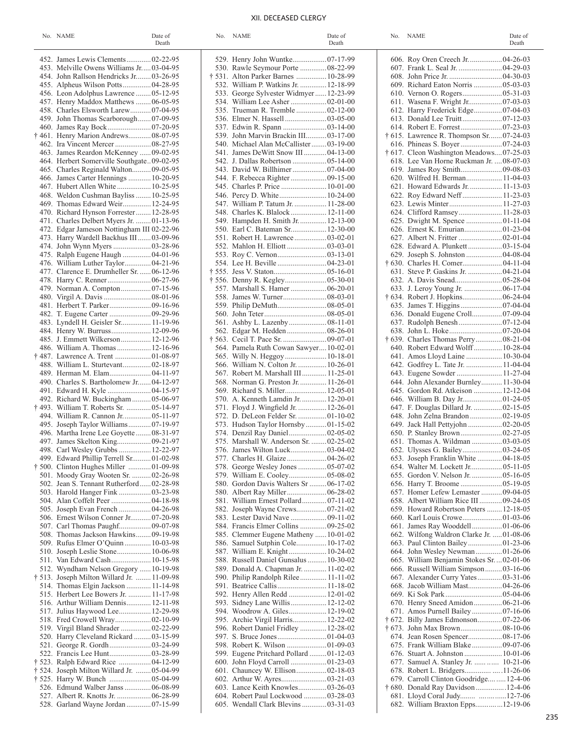# XII. DECEASED CLERGY

| No. NAME                                                                  | Date of<br>Death | No. NAME                                | Date of<br>Death | No. NAME                                                                | Date of<br>Death |
|---------------------------------------------------------------------------|------------------|-----------------------------------------|------------------|-------------------------------------------------------------------------|------------------|
| 452. James Lewis Clements 02-22-95                                        |                  | 529. Henry John Wuntke 07-17-99         |                  | 606. Roy Oren Creech Jr.  04-26-0.                                      |                  |
| 453. Melville Owens Williams Jr03-04-95                                   |                  | 530. Rawle Seymour Porte  08-22-99      |                  | 607. Frank L. Seal Jr.  04-29-0.                                        |                  |
| 454. John Rallson Hendricks Jr 03-26-95                                   |                  | † 531. Alton Parker Barnes  10-28-99    |                  |                                                                         |                  |
| 455. Alpheus Wilson Potts 04-28-95                                        |                  | 532. William P. Watkins Jr.  12-18-99   |                  | 609. Richard Eaton Norris  05-03-0.                                     |                  |
| 456. Leon Adolphus Lawrence  05-12-95                                     |                  | 533. George Sylvester Widmyer12-23-99   |                  |                                                                         |                  |
| 457. Henry Maddox Matthews  06-05-95                                      |                  |                                         |                  | 611. Wasena F. Wright Jr 07-03-0.                                       |                  |
| 458. Charles Elsworth Larew07-04-95                                       |                  | 535. Trueman R. Tremble  02-12-00       |                  | 612. Harry Frederick Edge 07-04-0.                                      |                  |
| 459. John Thomas Scarborough 07-09-95                                     |                  |                                         |                  |                                                                         |                  |
|                                                                           |                  |                                         |                  |                                                                         |                  |
| † 461. Henry Marion Andrews 08-07-95                                      |                  | 539. John Marvin Brackin III 03-17-00   |                  | † 615. Lawrence R. Thompson Sr07-24-0.                                  |                  |
|                                                                           |                  | 540. Michael Alan McCallister03-19-00   |                  |                                                                         |                  |
| 463. James Reardon McKenney  09-02-95                                     |                  | 541. James DeWitt Snow III 04-13-00     |                  | † 617. Cleon Washington Meadows07-25-0.                                 |                  |
| 464. Herbert Somerville Southgate09-02-95                                 |                  |                                         |                  | 618. Lee Van Horne Ruckman Jr.  08-07-0.                                |                  |
| 465. Charles Reginald Walton 09-05-95                                     |                  | 543. David W. Billhimer  07-04-00       |                  | 620. Wilfred H. Berman 11-04-0.                                         |                  |
| 466. James Carter Hennings  10-20-95<br>467. Hubert Allen White  10-25-95 |                  |                                         |                  | 621. Howard Edwards Jr.  11-13-0.                                       |                  |
| 468. Weldon Cushman Bayliss  10-25-95                                     |                  | 546. Percy D. White 10-24-00            |                  | 622. Roy Edward Neff 11-23-0.                                           |                  |
| 469. Thomas Edward Weir 12-24-95                                          |                  | 547. William P. Tatum Jr.  11-28-00     |                  |                                                                         |                  |
| 470. Richard Hynson Forrester  12-28-95                                   |                  | 548. Charles K. Blalock 12-11-00        |                  |                                                                         |                  |
| 471. Charles Delbert Myers Jr. 01-13-96                                   |                  | 549. Hampden H. Smith Jr.  12-13-00     |                  | 625. Dwight M. Spence  01-11-0                                          |                  |
| 472. Edgar Jameson Nottingham III 02-22-96                                |                  | 550. Earl C. Bateman Sr 12-30-00        |                  |                                                                         |                  |
| 473. Harry Wardell Backhus III03-09-96                                    |                  |                                         |                  |                                                                         |                  |
|                                                                           |                  |                                         |                  | 628. Edward A. Plunkett  03-15-0                                        |                  |
| 475. Ralph Eugene Haugh  04-01-96                                         |                  |                                         |                  |                                                                         |                  |
| 476. William Luther Taylor 04-21-96                                       |                  |                                         |                  |                                                                         |                  |
| 477. Clarence E. Drumheller Sr.  06-12-96                                 |                  |                                         |                  | 631. Steve P. Gaskins Jr.  04-21-0                                      |                  |
|                                                                           |                  |                                         |                  |                                                                         |                  |
|                                                                           |                  | 557. Marshall S. Hamer  06-20-01        |                  |                                                                         |                  |
|                                                                           |                  |                                         |                  |                                                                         |                  |
|                                                                           |                  |                                         |                  |                                                                         |                  |
|                                                                           |                  |                                         |                  | 636. Donald Eugene Croll 07-09-0                                        |                  |
| 483. Lyndell H. Geisler Sr 11-19-96                                       |                  |                                         |                  |                                                                         |                  |
| 484. Henry W. Burruss 12-09-96                                            |                  |                                         |                  |                                                                         |                  |
| 485. J. Emmett Wilkerson 12-12-96                                         |                  | 564. Pamela Ruth Cowan Sawyer 10-02-01  |                  | † 639. Charles Thomas Perry 08-21-0<br>640. Robert Edward Wolff 10-28-0 |                  |
| 486. William A. Thomas  12-16-96                                          |                  |                                         |                  | 641. Amos Lloyd Laine  10-30-0                                          |                  |
| 488. William L. Sturtevant 02-18-97                                       |                  | 566. William N. Colton Jr.  10-26-01    |                  | 642. Godfrey L. Tate Jr.  11-04-0                                       |                  |
|                                                                           |                  | 567. Robert M. Marshall III 11-25-01    |                  | 643. Eugene Sowder  11-27-0                                             |                  |
| 490. Charles S. Bartholomew Jr 04-12-97                                   |                  | 568. Norman G. Preston Jr.  11-26-01    |                  | 644. John Alexander Burnley 11-30-0                                     |                  |
| 491. Edward H. Kyle  04-15-97                                             |                  |                                         |                  | 645. Gordon Rd. Atkeison  12-12-0                                       |                  |
| 492. Richard W. Buckingham  05-06-97                                      |                  | 570. A. Kenneth Lamdin Jr.  12-20-01    |                  |                                                                         |                  |
| † 493. William T. Roberts Sr.  05-14-97                                   |                  | 571. Floyd J. Wingfield Jr.  12-26-01   |                  | 647. F. Douglas Dillard Jr.  02-15-0.                                   |                  |
| 494. William R. Cannon Jr 05-11-97                                        |                  | 572. D. DeLeon Felder Sr.  01-10-02     |                  | 648. John Zelna Brandon  02-19-0.                                       |                  |
| 495. Joseph Taylor Williams 07-19-97                                      |                  | 573. Hudson Taylor Hornsby 01-15-02     |                  |                                                                         |                  |
| 496. Martha Irene Lee Goyette  08-31-97                                   |                  | 574. Denzil Ray Daniel 02-05-02         |                  |                                                                         |                  |
|                                                                           |                  | 575. Marshall W. Anderson Sr.  02-25-02 |                  | 651. Thomas A. Wildman  03-03-0.                                        |                  |
| 498. Carl Wesley Grubbs  12-22-97                                         |                  |                                         |                  | 652. Ulysses G. Bailey 03-24-0.                                         |                  |
| 499. Edward Phillip Terrell Sr 01-02-98                                   |                  | 577. Charles H. Glaize  04-26-02        |                  | 653. Joseph Franklin White  04-18-0.                                    |                  |
|                                                                           |                  | 578. George Wesley Jones  05-07-02      |                  | 654. Walter M. Lockett Jr 05-11-0.                                      |                  |
| 501. Moody Gray Wooten Sr.  02-26-98                                      |                  |                                         |                  | 655. Gordon V. Nelson Jr.  05-16-0.                                     |                  |
| 502. Jean S. Tennant Rutherford02-28-98                                   |                  | 580. Gordon Davis Walters Sr  06-17-02  |                  | 657. Homer Lefew Lemaster  09-04-0.                                     |                  |
|                                                                           |                  | 581. William Ernest Pollard 07-11-02    |                  | 658. Albert William Rice III  09-24-0.                                  |                  |
| 505. Joseph Evan French  04-26-98                                         |                  | 582. Joseph Wayne Crews 07-21-02        |                  | 659. Howard Robertson Peters  12-18-0.                                  |                  |
| 506. Ernest Wilson Conner Jr 07-20-98                                     |                  | 583. Lester David Nave  09-11-02        |                  |                                                                         |                  |
|                                                                           |                  | 584. Francis Elmer Collins  09-25-02    |                  | 661. James Ray Wooddell01-06-0                                          |                  |
| 508. Thomas Jackson Hawkins 09-19-98                                      |                  | 585. Clemmer Eugene Matheny  10-01-02   |                  | 662. Wilfong Waldron Clarke Jr. 01-08-0                                 |                  |
| 509. Rufus Elmer O'Quinn 10-03-98                                         |                  | 586. Samuel Sutphin Cole 10-17-02       |                  |                                                                         |                  |
|                                                                           |                  |                                         |                  | 664. John Wesley Newman01-26-0                                          |                  |
| 511. Van Edward Cash 10-15-98                                             |                  | 588. Russell Daniel Gunsalus  10-30-02  |                  | 665. William Benjamin Stokes Sr.  02-01-0                               |                  |
| 512. Wyndham Nelson Gregory 10-19-98                                      |                  | 589. Donald A. Chapman Jr.  11-02-02    |                  | 666. Russell William Simpson 03-16-0                                    |                  |
| † 513. Joseph Milton Willard Jr.  11-09-98                                |                  | 590. Philip Randolph Rilee 11-11-02     |                  | 667. Alexander Curry Yates 03-31-0                                      |                  |
| 514. Thomas Elgin Jackson  11-14-98                                       |                  |                                         |                  |                                                                         |                  |
| 515. Herbert Lee Bowers Jr.  11-17-98                                     |                  | 592. Henry Allen Redd  12-01-02         |                  |                                                                         |                  |
| 516. Arthur William Dennis 12-11-98                                       |                  | 593. Sidney Lane Willis 12-12-02        |                  | 670. Henry Sneed Amidon 06-21-0                                         |                  |
| 517. Julius Haywood Lee 12-29-98                                          |                  | 594. Woodrow A. Giles 12-19-02          |                  |                                                                         |                  |
|                                                                           |                  | 595. Archie Virgil Harris 12-22-02      |                  | † 672. Billy James Edmonson 07-22-0                                     |                  |
| 519. Virgil Bland Shrader  02-22-99                                       |                  | 596. Robert Daniel Fridley  12-28-02    |                  |                                                                         |                  |
| 520. Harry Cleveland Rickard  03-15-99<br>521. George R. Gordh  03-24-99  |                  |                                         |                  | 675. Frank William Blake 09-07-0                                        |                  |
|                                                                           |                  | 599. Eugene Pritchard Pollard  01-12-03 |                  |                                                                         |                  |
| † 523. Ralph Edward Rice  04-12-99                                        |                  |                                         |                  | 677. Samuel A. Stanley Jr.   10-21-0                                    |                  |
| † 524. Joseph Milton Willard Jr.  05-04-99                                |                  | 601. Chauncey W. Ellison 02-18-03       |                  | 678. Robert L. Bridgers11-26-0                                          |                  |
|                                                                           |                  |                                         |                  | 679. Carroll Clinton Goodridge  12-4-0                                  |                  |
| 526. Edmund Walber Janss  06-08-99                                        |                  | 603. Lance Keith Knowles 03-26-03       |                  | † 680. Donald Ray Davidson 12-4-0                                       |                  |
| 527. Albert R. Knotts Jr.  06-28-99                                       |                  | 604. Robert Paul Lockwood  03-28-03     |                  | 681. Lloyd Coral Judy 12-7-0                                            |                  |
| 528. Garland Wayne Jordan  07-15-99                                       |                  | 605. Wendall Clark Blevins  03-31-03    |                  | 682. William Braxton Epps12-19-0                                        |                  |
|                                                                           |                  |                                         |                  |                                                                         |                  |

|        | 606. Roy Oren Creech Jr.  04-26-03       |  |
|--------|------------------------------------------|--|
|        | 607. Frank L. Seal Jr.  04-29-03         |  |
|        |                                          |  |
|        | 609. Richard Eaton Norris  05-03-03      |  |
|        |                                          |  |
| 611.   | Wasena F. Wright Jr 07-03-03             |  |
|        | 612. Harry Frederick Edge 07-04-03       |  |
|        |                                          |  |
|        |                                          |  |
|        |                                          |  |
|        | † 615. Lawrence R. Thompson Sr07-24-03   |  |
|        |                                          |  |
|        | † 617. Cleon Washington Meadows07-25-03  |  |
|        |                                          |  |
|        | 618. Lee Van Horne Ruckman Jr.  08-07-03 |  |
| 619.   |                                          |  |
|        | 620. Wilfred H. Berman 11-04-03          |  |
|        | 621. Howard Edwards Jr.  11-13-03        |  |
|        | 622. Roy Edward Neff  11-23-03           |  |
|        |                                          |  |
|        | 624. Clifford Ramsey 11-28-03            |  |
|        |                                          |  |
|        | 625. Dwight M. Spence  01-11-04          |  |
|        |                                          |  |
|        |                                          |  |
|        | 628. Edward A. Plunkett  03-15-04        |  |
|        |                                          |  |
|        | † 630. Charles H. Comer 04-11-04         |  |
| 631.   | Steve P. Gaskins Jr.  04-21-04           |  |
|        |                                          |  |
|        |                                          |  |
|        | 633. J. Leroy Young Jr.  06-17-04        |  |
|        | † 634. Robert J. Hopkins 06-24-04        |  |
|        |                                          |  |
|        | 636. Donald Eugene Croll 07-09-04        |  |
|        |                                          |  |
|        |                                          |  |
|        |                                          |  |
|        | † 639. Charles Thomas Perry 08-21-04     |  |
|        | 640. Robert Edward Wolff 10-28-04        |  |
|        | 641. Amos Lloyd Laine  10-30-04          |  |
| 642.   | Godfrey L. Tate Jr.  11-04-04            |  |
| 643.   | Eugene Sowder  11-27-04                  |  |
|        | 644. John Alexander Burnley 11-30-04     |  |
|        |                                          |  |
|        | 645. Gordon Rd. Atkeison  12-12-04       |  |
|        | 646. William B. Day Jr 01-24-05          |  |
| 647.   | F. Douglas Dillard Jr.  02-15-05         |  |
|        | 648. John Zelna Brandon  02-19-05        |  |
|        | 649. Jack Hall Pettyjohn  02-20-05       |  |
|        |                                          |  |
| 651.   | Thomas A. Wildman  03-03-05              |  |
|        |                                          |  |
|        |                                          |  |
| 653.   | Joseph Franklin White  04-18-05          |  |
|        |                                          |  |
| 655.   |                                          |  |
|        |                                          |  |
| 657.   | Homer Lefew Lemaster  09-04-05           |  |
|        | 658. Albert William Rice III  09-24-05   |  |
|        | 659. Howard Robertson Peters  12-18-05   |  |
|        |                                          |  |
|        |                                          |  |
| 661.   | James Ray Wooddell01-06-06               |  |
| 662.   | Wilfong Waldron Clarke Jr. 01-08-06      |  |
| 663.   | Paul Clinton Bailey01-23-06              |  |
|        | 664. John Wesley Newman01-26-06          |  |
| 665.   | William Benjamin Stokes Sr.  02-01-06    |  |
|        | 666. Russell William Simpson 03-16-06    |  |
| 667.   | Alexander Curry Yates  03-31-06          |  |
|        |                                          |  |
|        | 668. Jacob William Mast 04-26-06         |  |
| 669.   |                                          |  |
| 670.   | Henry Sneed Amidon 06-21-06              |  |
| 671.   | Amos Purnell Bailey07-16-06              |  |
| † 672. | Billy James Edmonson 07-22-06            |  |
| † 673. |                                          |  |
|        | Jean Rosen Spencer 08-17-06              |  |
| 674.   |                                          |  |
| 675.   | Frank William Blake 09-07-06             |  |
| 676.   |                                          |  |
| 677.   | Samuel A. Stanley Jr.   10-21-06         |  |
|        | 678. Robert L. Bridgers11-26-06          |  |
| 679.   | Carroll Clinton Goodridge 12-4-06        |  |
| † 680. | Donald Ray Davidson 12-4-06              |  |
|        |                                          |  |
| 681.   | Lloyd Coral Judy 12-7-06                 |  |
| 682.   | William Braxton Epps12-19-06             |  |